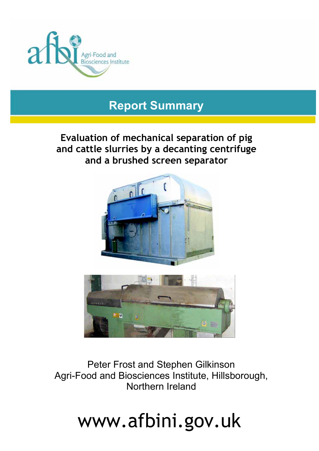

# **Report Summary**

# **Evaluation of mechanical separation of pig and cattle slurries by a decanting centrifuge and a brushed screen separator**





Peter Frost and Stephen Gilkinson Agri-Food and Biosciences Institute, Hillsborough, Northern Ireland

# www.afbini.gov.uk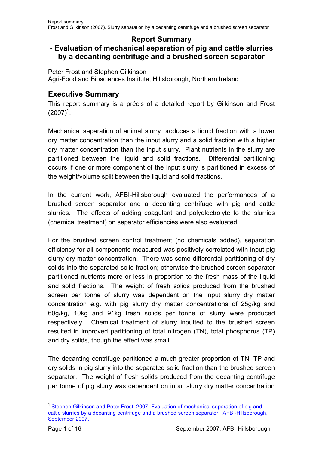#### **Report Summary - Evaluation of mechanical separation of pig and cattle slurries by a decanting centrifuge and a brushed screen separator**

Peter Frost and Stephen Gilkinson Agri-Food and Biosciences Institute, Hillsborough, Northern Ireland

# **Executive Summary**

This report summary is a précis of a detailed report by Gilkinson and Frost  $(2007)^{1}$ .

Mechanical separation of animal slurry produces a liquid fraction with a lower dry matter concentration than the input slurry and a solid fraction with a higher dry matter concentration than the input slurry. Plant nutrients in the slurry are partitioned between the liquid and solid fractions. Differential partitioning occurs if one or more component of the input slurry is partitioned in excess of the weight/volume split between the liquid and solid fractions.

In the current work, AFBI-Hillsborough evaluated the performances of a brushed screen separator and a decanting centrifuge with pig and cattle slurries. The effects of adding coagulant and polyelectrolyte to the slurries (chemical treatment) on separator efficiencies were also evaluated.

For the brushed screen control treatment (no chemicals added), separation efficiency for all components measured was positively correlated with input pig slurry dry matter concentration. There was some differential partitioning of dry solids into the separated solid fraction; otherwise the brushed screen separator partitioned nutrients more or less in proportion to the fresh mass of the liquid and solid fractions. The weight of fresh solids produced from the brushed screen per tonne of slurry was dependent on the input slurry dry matter concentration e.g. with pig slurry dry matter concentrations of 25g/kg and 60g/kg, 10kg and 91kg fresh solids per tonne of slurry were produced respectively. Chemical treatment of slurry inputted to the brushed screen resulted in improved partitioning of total nitrogen (TN), total phosphorus (TP) and dry solids, though the effect was small.

The decanting centrifuge partitioned a much greater proportion of TN, TP and dry solids in pig slurry into the separated solid fraction than the brushed screen separator. The weight of fresh solids produced from the decanting centrifuge per tonne of pig slurry was dependent on input slurry dry matter concentration

l <sup>1</sup> Stephen Gilkinson and Peter Frost, 2007. Evaluation of mechanical separation of pig and [cattle slurries by a decanting centrifuge and a brushed screen separator. AFBI-Hillsborough,](http://www.afbini.gov.uk/Evaluation-of-mechanical-separation-of-pig.pdf)  September 2007.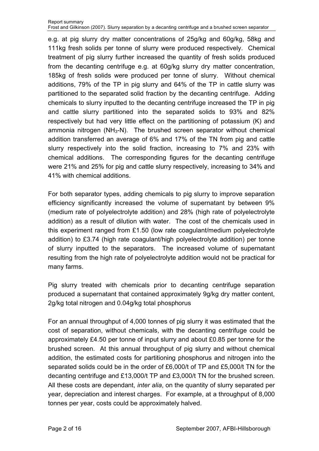e.g. at pig slurry dry matter concentrations of 25g/kg and 60g/kg, 58kg and 111kg fresh solids per tonne of slurry were produced respectively. Chemical treatment of pig slurry further increased the quantity of fresh solids produced from the decanting centrifuge e.g. at 60g/kg slurry dry matter concentration, 185kg of fresh solids were produced per tonne of slurry. Without chemical additions, 79% of the TP in pig slurry and 64% of the TP in cattle slurry was partitioned to the separated solid fraction by the decanting centrifuge. Adding chemicals to slurry inputted to the decanting centrifuge increased the TP in pig and cattle slurry partitioned into the separated solids to 93% and 82% respectively but had very little effect on the partitioning of potassium (K) and ammonia nitrogen  $(NH<sub>3</sub>-N)$ . The brushed screen separator without chemical addition transferred an average of 6% and 17% of the TN from pig and cattle slurry respectively into the solid fraction, increasing to 7% and 23% with chemical additions. The corresponding figures for the decanting centrifuge were 21% and 25% for pig and cattle slurry respectively, increasing to 34% and 41% with chemical additions.

For both separator types, adding chemicals to pig slurry to improve separation efficiency significantly increased the volume of supernatant by between 9% (medium rate of polyelectrolyte addition) and 28% (high rate of polyelectrolyte addition) as a result of dilution with water. The cost of the chemicals used in this experiment ranged from £1.50 (low rate coagulant/medium polyelectrolyte addition) to £3.74 (high rate coagulant/high polyelectrolyte addition) per tonne of slurry inputted to the separators. The increased volume of supernatant resulting from the high rate of polyelectrolyte addition would not be practical for many farms.

Pig slurry treated with chemicals prior to decanting centrifuge separation produced a supernatant that contained approximately 9g/kg dry matter content, 2g/kg total nitrogen and 0.04g/kg total phosphorus

For an annual throughput of 4,000 tonnes of pig slurry it was estimated that the cost of separation, without chemicals, with the decanting centrifuge could be approximately £4.50 per tonne of input slurry and about £0.85 per tonne for the brushed screen. At this annual throughput of pig slurry and without chemical addition, the estimated costs for partitioning phosphorus and nitrogen into the separated solids could be in the order of £6,000/t of TP and £5,000/t TN for the decanting centrifuge and £13,000/t TP and £3,000/t TN for the brushed screen. All these costs are dependant, *inter alia*, on the quantity of slurry separated per year, depreciation and interest charges. For example, at a throughput of 8,000 tonnes per year, costs could be approximately halved.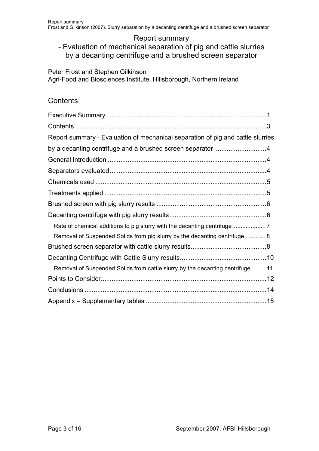#### Report summary

# - Evaluation of mechanical separation of pig and cattle slurries by a decanting centrifuge and a brushed screen separator

Peter Frost and Stephen Gilkinson Agri-Food and Biosciences Institute, Hillsborough, Northern Ireland

#### **Contents**

| Report summary - Evaluation of mechanical separation of pig and cattle slurries |  |
|---------------------------------------------------------------------------------|--|
| by a decanting centrifuge and a brushed screen separator 4                      |  |
|                                                                                 |  |
|                                                                                 |  |
|                                                                                 |  |
|                                                                                 |  |
|                                                                                 |  |
|                                                                                 |  |
|                                                                                 |  |
| Removal of Suspended Solids from pig slurry by the decanting centrifuge  8      |  |
|                                                                                 |  |
|                                                                                 |  |
| Removal of Suspended Solids from cattle slurry by the decanting centrifuge 11   |  |
|                                                                                 |  |
|                                                                                 |  |
|                                                                                 |  |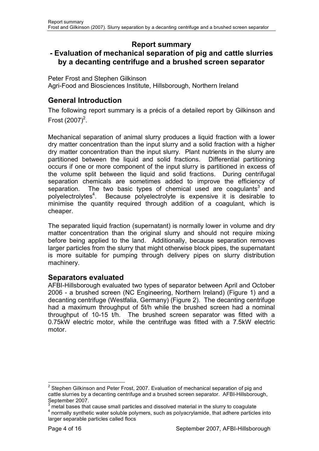# **Report summary**

# **- Evaluation of mechanical separation of pig and cattle slurries by a decanting centrifuge and a brushed screen separator**

Peter Frost and Stephen Gilkinson Agri-Food and Biosciences Institute, Hillsborough, Northern Ireland

# **General Introduction**

The following report summary is a précis of a detailed report by Gilkinson and Frost  $(2007)^2$ .

Mechanical separation of animal slurry produces a liquid fraction with a lower dry matter concentration than the input slurry and a solid fraction with a higher dry matter concentration than the input slurry. Plant nutrients in the slurry are partitioned between the liquid and solid fractions. Differential partitioning occurs if one or more component of the input slurry is partitioned in excess of the volume split between the liquid and solid fractions. During centrifugal separation chemicals are sometimes added to improve the efficiency of separation. The two basic types of chemical used are coagulants<sup>3</sup> and polyelectrolytes<sup>4</sup>. . Because polyelectrolyte is expensive it is desirable to minimise the quantity required through addition of a coagulant, which is cheaper.

The separated liquid fraction (supernatant) is normally lower in volume and dry matter concentration than the original slurry and should not require mixing before being applied to the land. Additionally, because separation removes larger particles from the slurry that might otherwise block pipes, the supernatant is more suitable for pumping through delivery pipes on slurry distribution machinery.

## **Separators evaluated**

AFBI-Hillsborough evaluated two types of separator between April and October 2006 - a brushed screen (NC Engineering, Northern Ireland) (Figure 1) and a decanting centrifuge (Westfalia, Germany) (Figure 2). The decanting centrifuge had a maximum throughput of 5t/h while the brushed screen had a nominal throughput of 10-15 t/h. The brushed screen separator was fitted with a 0.75kW electric motor, while the centrifuge was fitted with a 7.5kW electric motor.

<sup>————————————————————&</sup>lt;br><sup>2</sup> Stephen Gilkinson and Peter Frost, 2007. Evaluation of mechanical separation of pig and cattle slurries by a decanting centrifuge and a brushed screen separator. AFBI-Hillsborough, September 2007.

 $3$  metal bases that cause small particles and dissolved material in the slurry to coagulate

<sup>&</sup>lt;sup>4</sup> normally synthetic water soluble polymers, such as polyacrylamide, that adhere particles into larger separable particles called flocs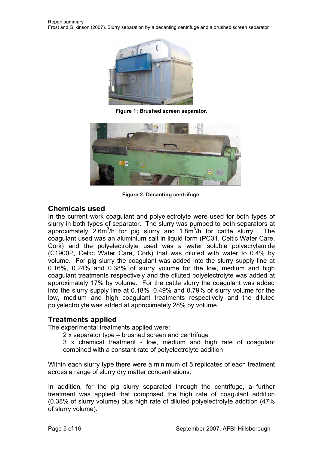

**Figure 1: Brushed screen separator**.



**Figure 2. Decanting centrifuge.** 

## **Chemicals used**

In the current work coagulant and polyelectrolyte were used for both types of slurry in both types of separator. The slurry was pumped to both separators at approximately  $2.6m^3/h$  for pig slurry and 1.8 $m^3/h$  for cattle slurry. The coagulant used was an aluminium salt in liquid form (PC31, Celtic Water Care, Cork) and the polyelectrolyte used was a water soluble polyacrylamide (C1900P, Celtic Water Care, Cork) that was diluted with water to 0.4% by volume. For pig slurry the coagulant was added into the slurry supply line at 0.16%, 0.24% and 0.38% of slurry volume for the low, medium and high coagulant treatments respectively and the diluted polyelectrolyte was added at approximately 17% by volume. For the cattle slurry the coagulant was added into the slurry supply line at 0.18%, 0.49% and 0.79% of slurry volume for the low, medium and high coagulant treatments respectively and the diluted polyelectrolyte was added at approximately 28% by volume.

# **Treatments applied**

The experimental treatments applied were:

2 x separator type – brushed screen and centrifuge

3 x chemical treatment - low, medium and high rate of coagulant combined with a constant rate of polyelectrolyte addition

Within each slurry type there were a minimum of 5 replicates of each treatment across a range of slurry dry matter concentrations.

In addition, for the pig slurry separated through the centrifuge, a further treatment was applied that comprised the high rate of coagulant addition (0.38% of slurry volume) plus high rate of diluted polyelectrolyte addition (47% of slurry volume).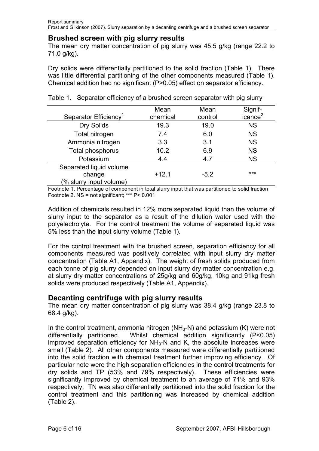#### **Brushed screen with pig slurry results**

The mean dry matter concentration of pig slurry was 45.5 g/kg (range 22.2 to 71.0 g/kg).

Dry solids were differentially partitioned to the solid fraction (Table 1). There was little differential partitioning of the other components measured (Table 1). Chemical addition had no significant (P>0.05) effect on separator efficiency.

|                                   | Mean     | Mean    | Signif-             |
|-----------------------------------|----------|---------|---------------------|
| Separator Efficiency <sup>1</sup> | chemical | control | icance <sup>2</sup> |
| Dry Solids                        | 19.3     | 19.0    | <b>NS</b>           |
| Total nitrogen                    | 7.4      | 6.0     | <b>NS</b>           |
| Ammonia nitrogen                  | 3.3      | 3.1     | <b>NS</b>           |
| Total phosphorus                  | 10.2     | 6.9     | <b>NS</b>           |
| Potassium                         | 4.4      | 4.7     | <b>NS</b>           |
| Separated liquid volume           |          |         |                     |
| change                            | $+12.1$  | $-5.2$  | ***                 |
| (% slurry input volume)           |          |         |                     |

Table 1. Separator efficiency of a brushed screen separator with pig slurry

Footnote 1. Percentage of component in total slurry input that was partitioned to solid fraction Footnote 2. NS = not significant; \*\*\* P< 0.001

Addition of chemicals resulted in 12% more separated liquid than the volume of slurry input to the separator as a result of the dilution water used with the polyelectrolyte. For the control treatment the volume of separated liquid was 5% less than the input slurry volume (Table 1).

For the control treatment with the brushed screen, separation efficiency for all components measured was positively correlated with input slurry dry matter concentration (Table A1, Appendix). The weight of fresh solids produced from each tonne of pig slurry depended on input slurry dry matter concentration e.g. at slurry dry matter concentrations of 25g/kg and 60g/kg, 10kg and 91kg fresh solids were produced respectively (Table A1, Appendix).

#### **Decanting centrifuge with pig slurry results**

The mean dry matter concentration of pig slurry was 38.4 g/kg (range 23.8 to 68.4 g/kg).

In the control treatment, ammonia nitrogen ( $NH<sub>3</sub>-N$ ) and potassium (K) were not differentially partitioned. Whilst chemical addition significantly (P<0.05) improved separation efficiency for  $NH<sub>3</sub>-N$  and K, the absolute increases were small (Table 2). All other components measured were differentially partitioned into the solid fraction with chemical treatment further improving efficiency. Of particular note were the high separation efficiencies in the control treatments for dry solids and TP (53% and 79% respectively). These efficiencies were significantly improved by chemical treatment to an average of 71% and 93% respectively. TN was also differentially partitioned into the solid fraction for the control treatment and this partitioning was increased by chemical addition (Table 2).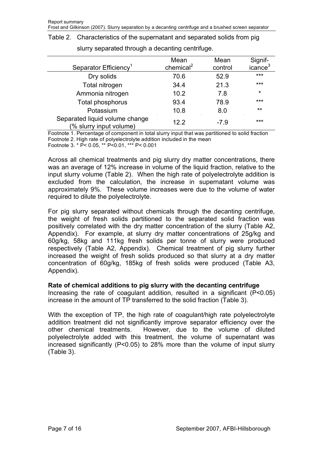| <u>SidiTy Supdiated through a accanting continuate.</u>   |                       |         |                     |  |  |  |
|-----------------------------------------------------------|-----------------------|---------|---------------------|--|--|--|
|                                                           | Mean                  | Mean    | Signif-             |  |  |  |
| Separator Efficiency <sup>1</sup>                         | chemical <sup>2</sup> | control | icance <sup>3</sup> |  |  |  |
| Dry solids                                                | 70.6                  | 52.9    | ***                 |  |  |  |
| Total nitrogen                                            | 34.4                  | 21.3    | $***$               |  |  |  |
| Ammonia nitrogen                                          | 10.2                  | 7.8     | $\star$             |  |  |  |
| Total phosphorus                                          | 93.4                  | 78.9    | $***$               |  |  |  |
| Potassium                                                 | 10.8                  | 8.0     | $***$               |  |  |  |
| Separated liquid volume change<br>(% slurry input volume) | 12.2                  | $-7.9$  | $***$               |  |  |  |

Table 2. Characteristics of the supernatant and separated solids from pig slurry separated through a decanting centrifuge.

Footnote 1. Percentage of component in total slurry input that was partitioned to solid fraction Footnote 2. High rate of polyelectrolyte addition included in the mean

Footnote 3. \* P< 0.05, \*\* P<0.01, \*\*\* P< 0.001

Across all chemical treatments and pig slurry dry matter concentrations, there was an average of 12% increase in volume of the liquid fraction, relative to the input slurry volume (Table 2). When the high rate of polyelectrolyte addition is excluded from the calculation, the increase in supernatant volume was approximately 9%. These volume increases were due to the volume of water required to dilute the polyelectrolyte.

For pig slurry separated without chemicals through the decanting centrifuge, the weight of fresh solids partitioned to the separated solid fraction was positively correlated with the dry matter concentration of the slurry (Table A2, Appendix). For example, at slurry dry matter concentrations of 25g/kg and 60g/kg, 58kg and 111kg fresh solids per tonne of slurry were produced respectively (Table A2, Appendix). Chemical treatment of pig slurry further increased the weight of fresh solids produced so that slurry at a dry matter concentration of 60g/kg, 185kg of fresh solids were produced (Table A3, Appendix).

#### **Rate of chemical additions to pig slurry with the decanting centrifuge**

Increasing the rate of coagulant addition, resulted in a significant (P<0.05) increase in the amount of TP transferred to the solid fraction (Table 3).

With the exception of TP, the high rate of coagulant/high rate polyelectrolyte addition treatment did not significantly improve separator efficiency over the other chemical treatments. However, due to the volume of diluted polyelectrolyte added with this treatment, the volume of supernatant was increased significantly (P<0.05) to 28% more than the volume of input slurry (Table 3).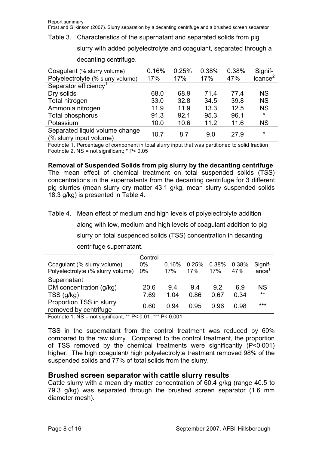Table 3. Characteristics of the supernatant and separated solids from pig

slurry with added polyelectrolyte and coagulant, separated through a

| Coagulant (% slurry volume)                               | 0.16% | 0.25% | 0.38% | 0.38% | Signif-             |
|-----------------------------------------------------------|-------|-------|-------|-------|---------------------|
| Polyelectrolyte (% slurry volume)                         | 17%   | 17%   | 17%   | 47%   | icance <sup>2</sup> |
| Separator efficiency <sup>1</sup>                         |       |       |       |       |                     |
| Dry solids                                                | 68.0  | 68.9  | 71.4  | 774   | <b>NS</b>           |
| Total nitrogen                                            | 33.0  | 32.8  | 34.5  | 39.8  | <b>NS</b>           |
| Ammonia nitrogen                                          | 11.9  | 11.9  | 13.3  | 12.5  | <b>NS</b>           |
| Total phosphorus                                          | 91.3  | 92.1  | 95.3  | 96.1  | $\star$             |
| Potassium                                                 | 10.0  | 10.6  | 11.2  | 11.6  | <b>NS</b>           |
| Separated liquid volume change<br>(% slurry input volume) | 10.7  | 8.7   | 9.0   | 27.9  | $\star$             |

decanting centrifuge.

Footnote 1. Percentage of component in total slurry input that was partitioned to solid fraction Footnote 2. NS = not significant; \* P< 0.05

**Removal of Suspended Solids from pig slurry by the decanting centrifuge**  The mean effect of chemical treatment on total suspended solids (TSS) concentrations in the supernatants from the decanting centrifuge for 3 different pig slurries (mean slurry dry matter 43.1 g/kg, mean slurry suspended solids 18.3 g/kg) is presented in Table 4.

Table 4. Mean effect of medium and high levels of polyelectrolyte addition

along with low, medium and high levels of coagulant addition to pig slurry on total suspended solids (TSS) concentration in decanting centrifuge supernatant.

| Coagulant (% slurry volume)<br>Polyelectrolyte (% slurry volume)                | Control<br>0%<br>$0\%$ | 0.16%<br>17%        | 0.25%<br>17%        | 0.38%<br>17%       | 0.38%<br>47%               | Signif-<br>$i$ ance <sup>1</sup> |
|---------------------------------------------------------------------------------|------------------------|---------------------|---------------------|--------------------|----------------------------|----------------------------------|
| Supernatant<br>DM concentration (g/kg)<br>TSS(q/kg)<br>Proportion TSS in slurry | 20.6<br>7.69<br>0.60   | 9.4<br>1.04<br>በ 94 | 9.4<br>0.86<br>0.95 | 92<br>0.67<br>0.96 | 6.9<br>0.34<br><u>በ 98</u> | ΝS<br>$***$<br>$***$             |
| removed by centrifuge                                                           |                        |                     |                     |                    |                            |                                  |

Footnote 1. NS = not significant; \*\* P< 0.01, \*\*\* P< 0.001

TSS in the supernatant from the control treatment was reduced by 60% compared to the raw slurry. Compared to the control treatment, the proportion of TSS removed by the chemical treatments were significantly (P<0.001) higher. The high coagulant/ high polyelectrolyte treatment removed 98% of the suspended solids and 77% of total solids from the slurry.

## **Brushed screen separator with cattle slurry results**

Cattle slurry with a mean dry matter concentration of 60.4 g/kg (range 40.5 to 79.3 g/kg) was separated through the brushed screen separator (1.6 mm diameter mesh).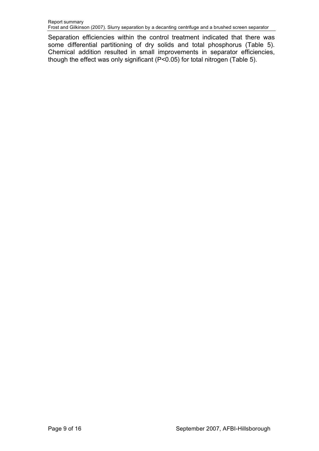Separation efficiencies within the control treatment indicated that there was some differential partitioning of dry solids and total phosphorus (Table 5). Chemical addition resulted in small improvements in separator efficiencies, though the effect was only significant (P<0.05) for total nitrogen (Table 5).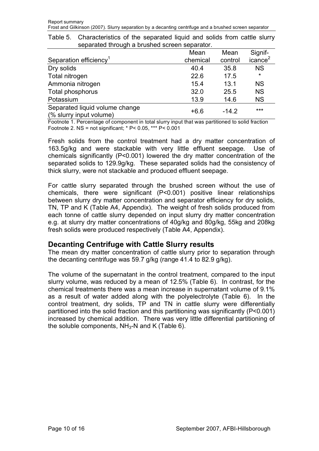|                                                           | Mean     | Mean    | Signif-             |
|-----------------------------------------------------------|----------|---------|---------------------|
| Separation efficiency <sup>1</sup>                        | chemical | control | icance <sup>2</sup> |
| Dry solids                                                | 40.4     | 35.8    | <b>NS</b>           |
| Total nitrogen                                            | 22.6     | 17.5    | $\star$             |
| Ammonia nitrogen                                          | 15.4     | 13.1    | <b>NS</b>           |
| Total phosphorus                                          | 32.0     | 25.5    | <b>NS</b>           |
| Potassium                                                 | 13.9     | 14.6    | <b>NS</b>           |
| Separated liquid volume change<br>(% slurry input volume) | $+6.6$   | $-14.2$ | $***$               |

Table 5. Characteristics of the separated liquid and solids from cattle slurry separated through a brushed screen separator.

Footnote 1. Percentage of component in total slurry input that was partitioned to solid fraction Footnote 2. NS = not significant; \* P< 0.05, \*\*\* P< 0.001

Fresh solids from the control treatment had a dry matter concentration of 163.5g/kg and were stackable with very little effluent seepage. Use of chemicals significantly (P<0.001) lowered the dry matter concentration of the separated solids to 129.9g/kg. These separated solids had the consistency of thick slurry, were not stackable and produced effluent seepage.

For cattle slurry separated through the brushed screen without the use of chemicals, there were significant (P<0.001) positive linear relationships between slurry dry matter concentration and separator efficiency for dry solids, TN, TP and K (Table A4, Appendix). The weight of fresh solids produced from each tonne of cattle slurry depended on input slurry dry matter concentration e.g. at slurry dry matter concentrations of 40g/kg and 80g/kg, 55kg and 208kg fresh solids were produced respectively (Table A4, Appendix).

#### **Decanting Centrifuge with Cattle Slurry results**

The mean dry matter concentration of cattle slurry prior to separation through the decanting centrifuge was 59.7 g/kg (range 41.4 to 82.9 g/kg).

The volume of the supernatant in the control treatment, compared to the input slurry volume, was reduced by a mean of 12.5% (Table 6). In contrast, for the chemical treatments there was a mean increase in supernatant volume of 9.1% as a result of water added along with the polyelectrolyte (Table 6). In the control treatment, dry solids, TP and TN in cattle slurry were differentially partitioned into the solid fraction and this partitioning was significantly (P<0.001) increased by chemical addition. There was very little differential partitioning of the soluble components,  $NH<sub>3</sub>-N$  and K (Table 6).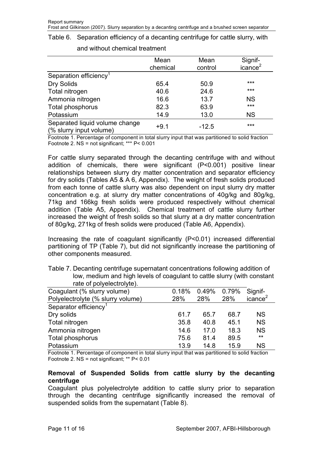|  | Table 6. Separation efficiency of a decanting centrifuge for cattle slurry, with |  |  |  |  |  |  |  |  |
|--|----------------------------------------------------------------------------------|--|--|--|--|--|--|--|--|
|--|----------------------------------------------------------------------------------|--|--|--|--|--|--|--|--|

|                                                           | Mean<br>chemical | Mean<br>control | Signif-<br>icance <sup>2</sup> |
|-----------------------------------------------------------|------------------|-----------------|--------------------------------|
| Separation efficiency <sup>1</sup>                        |                  |                 |                                |
| Dry Solids                                                | 65.4             | 50.9            | ***                            |
| Total nitrogen                                            | 40.6             | 24.6            | $***$                          |
| Ammonia nitrogen                                          | 16.6             | 13.7            | <b>NS</b>                      |
| Total phosphorus                                          | 82.3             | 63.9            | ***                            |
| Potassium                                                 | 14.9             | 13.0            | <b>NS</b>                      |
| Separated liquid volume change<br>(% slurry input volume) | $+9.1$           | $-12.5$         | ***                            |

#### and without chemical treatment

Footnote 1. Percentage of component in total slurry input that was partitioned to solid fraction Footnote 2. NS = not significant; \*\*\* P< 0.001

For cattle slurry separated through the decanting centrifuge with and without addition of chemicals, there were significant (P<0.001) positive linear relationships between slurry dry matter concentration and separator efficiency for dry solids (Tables A5 & A 6, Appendix). The weight of fresh solids produced from each tonne of cattle slurry was also dependent on input slurry dry matter concentration e.g. at slurry dry matter concentrations of 40g/kg and 80g/kg, 71kg and 166kg fresh solids were produced respectively without chemical addition (Table A5, Appendix). Chemical treatment of cattle slurry further increased the weight of fresh solids so that slurry at a dry matter concentration of 80g/kg, 271kg of fresh solids were produced (Table A6, Appendix).

Increasing the rate of coagulant significantly (P<0.01) increased differential partitioning of TP (Table 7), but did not significantly increase the partitioning of other components measured.

| rate of polyelectrolyte).         |       |       |       |                     |
|-----------------------------------|-------|-------|-------|---------------------|
| Coagulant (% slurry volume)       | 0.18% | 0.49% | 0.79% | Signif-             |
| Polyelectrolyte (% slurry volume) | 28%   | 28%   | 28%   | icance <sup>2</sup> |
| Separator efficiency <sup>1</sup> |       |       |       |                     |
| Dry solids                        | 61.7  | 65.7  | 68.7  | <b>NS</b>           |
| Total nitrogen                    | 35.8  | 40.8  | 45.1  | <b>NS</b>           |
| Ammonia nitrogen                  | 14.6  | 17.0  | 18.3  | <b>NS</b>           |
| Total phosphorus                  | 75.6  | 81.4  | 89.5  | $***$               |
| Potassium                         | 13.9  | 14.8  | 15.9  | <b>NS</b>           |

Table 7. Decanting centrifuge supernatant concentrations following addition of low, medium and high levels of coagulant to cattle slurry (with constant

Footnote 1. Percentage of component in total slurry input that was partitioned to solid fraction Footnote 2. NS = not significant; \*\* P< 0.01

#### **Removal of Suspended Solids from cattle slurry by the decanting centrifuge**

Coagulant plus polyelectrolyte addition to cattle slurry prior to separation through the decanting centrifuge significantly increased the removal of suspended solids from the supernatant (Table 8).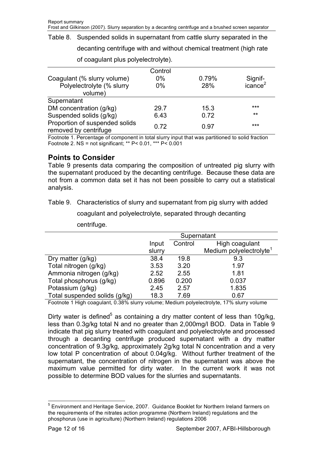Table 8. Suspended solids in supernatant from cattle slurry separated in the decanting centrifuge with and without chemical treatment (high rate of coagulant plus polyelectrolyte).

|                                                         | Control |       |                     |
|---------------------------------------------------------|---------|-------|---------------------|
| Coagulant (% slurry volume)                             | $0\%$   | 0.79% | Signif-             |
| Polyelectrolyte (% slurry                               | $0\%$   | 28%   | icance <sup>2</sup> |
| volume)                                                 |         |       |                     |
| Supernatant                                             |         |       |                     |
| DM concentration (g/kg)                                 | 29.7    | 15.3  | $***$               |
| Suspended solids (g/kg)                                 | 6.43    | 0.72  | $***$               |
| Proportion of suspended solids<br>removed by centrifuge | 0.72    | 0.97  | $***$               |

Footnote 1. Percentage of component in total slurry input that was partitioned to solid fraction Footnote 2. NS = not significant; \*\* P< 0.01, \*\*\* P< 0.001

#### **Points to Consider**

Table 9 presents data comparing the composition of untreated pig slurry with the supernatant produced by the decanting centrifuge. Because these data are not from a common data set it has not been possible to carry out a statistical analysis.

Table 9. Characteristics of slurry and supernatant from pig slurry with added

coagulant and polyelectrolyte, separated through decanting

|                               |        | Supernatant               |                                     |  |  |  |  |
|-------------------------------|--------|---------------------------|-------------------------------------|--|--|--|--|
|                               | Input  | Control<br>High coagulant |                                     |  |  |  |  |
|                               | slurry |                           | Medium polyelectrolyte <sup>1</sup> |  |  |  |  |
| Dry matter (g/kg)             | 38.4   | 19.8                      | 9.3                                 |  |  |  |  |
| Total nitrogen (g/kg)         | 3.53   | 3.20                      | 1.97                                |  |  |  |  |
| Ammonia nitrogen (g/kg)       | 2.52   | 2.55                      | 1.81                                |  |  |  |  |
| Total phosphorus (g/kg)       | 0.896  | 0.200                     | 0.037                               |  |  |  |  |
| Potassium (g/kg)              | 2.45   | 2.57                      | 1.835                               |  |  |  |  |
| Total suspended solids (g/kg) | 18.3   | 7.69                      | 0.67                                |  |  |  |  |

centrifuge.

Footnote 1 High coagulant, 0.38% slurry volume; Medium polyelectrolyte, 17% slurry volume

Dirty water is defined<sup>5</sup> as containing a dry matter content of less than 10g/kg, less than 0.3g/kg total N and no greater than 2,000mg/l BOD. Data in Table 9 indicate that pig slurry treated with coagulant and polyelectrolyte and processed through a decanting centrifuge produced supernatant with a dry matter concentration of 9.3g/kg, approximately 2g/kg total N concentration and a very low total P concentration of about 0.04g/kg. Without further treatment of the supernatant, the concentration of nitrogen in the supernatant was above the maximum value permitted for dirty water. In the current work it was not possible to determine BOD values for the slurries and supernatants.

l

<sup>&</sup>lt;sup>5</sup> Environment and Heritage Service, 2007. Guidance Booklet for Northern Ireland farmers on the requirements of the nitrates action programme (Northern Ireland) regulations and the phosphorus (use in agriculture) (Northern Ireland) regulations 2006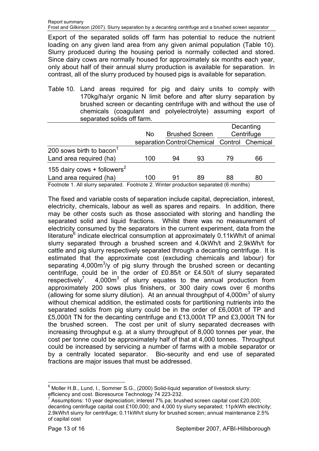Export of the separated solids off farm has potential to reduce the nutrient loading on any given land area from any given animal population (Table 10). Slurry produced during the housing period is normally collected and stored. Since dairy cows are normally housed for approximately six months each year, only about half of their annual slurry production is available for separation. In contrast, all of the slurry produced by housed pigs is available for separation.

Table 10. Land areas required for pig and dairy units to comply with 170kg/ha/yr organic N limit before and after slurry separation by brushed screen or decanting centrifuge with and without the use of chemicals (coagulant and polyelectrolyte) assuming export of separated solids off farm.

|                                                                                      |     |    |                       |    | Decanting                                    |  |
|--------------------------------------------------------------------------------------|-----|----|-----------------------|----|----------------------------------------------|--|
|                                                                                      | No. |    | <b>Brushed Screen</b> |    | Centrifuge                                   |  |
|                                                                                      |     |    |                       |    | separation Control Chemical Control Chemical |  |
| 200 sows birth to bacon                                                              |     |    |                       |    |                                              |  |
| Land area required (ha)                                                              | 100 | 94 | 93                    | 79 | 66                                           |  |
| 155 dairy cows + followers <sup>2</sup>                                              |     |    |                       |    |                                              |  |
| Land area required (ha)                                                              | 100 | 91 | 89                    | 88 | 80                                           |  |
| Footnote 1. All slurry separated. Footnote 2. Winter production separated (6 months) |     |    |                       |    |                                              |  |

The fixed and variable costs of separation include capital, depreciation, interest, electricity, chemicals, labour as well as spares and repairs. In addition, there may be other costs such as those associated with storing and handling the separated solid and liquid fractions. Whilst there was no measurement of electricity consumed by the separators in the current experiment, data from the literature $6$  indicate electrical consumption at approximately 0.11kWh/t of animal slurry separated through a brushed screen and 4.0kWh/t and 2.9kWh/t for cattle and pig slurry respectively separated through a decanting centrifuge. It is estimated that the approximate cost (excluding chemicals and labour) for separating  $4,000\,\mathrm{m}^3/\mathrm{y}$  of pig slurry through the brushed screen or decanting centrifuge, could be in the order of £0.85/t or £4.50/t of slurry separated respectively<sup>7</sup>.  $4,000m^3$  of slurry equates to the annual production from approximately 200 sows plus finishers, or 300 dairy cows over 6 months (allowing for some slurry dilution). At an annual throughput of  $4,000m^3$  of slurry without chemical addition, the estimated costs for partitioning nutrients into the separated solids from pig slurry could be in the order of £6,000/t of TP and £5,000/t TN for the decanting centrifuge and £13,000/t TP and £3,000/t TN for the brushed screen. The cost per unit of slurry separated decreases with increasing throughput e.g. at a slurry throughput of 8,000 tonnes per year, the cost per tonne could be approximately half of that at 4,000 tonnes. Throughput could be increased by servicing a number of farms with a mobile separator or by a centrally located separator. Bio-security and end use of separated fractions are major issues that must be addressed.

l <sup>6</sup> Moller H.B., Lund, I., Sommer S.G., (2000) Solid-liquid separation of livestock slurry: efficiency and cost. Bioresource Technology 74 223-232.<br><sup>7</sup> Assumations: 10 year depresiation: interest 7% not brus

Assumptions: 10 year depreciation; interest 7% pa; brushed screen capital cost £20,000; decanting centrifuge capital cost £100,000; and 4,000 t/y slurry separated; 11p/kWh electricity; 2.9kWh/t slurry for centrifuge; 0.11kWh/t slurry for brushed screen; annual maintenance 2.5% of capital cost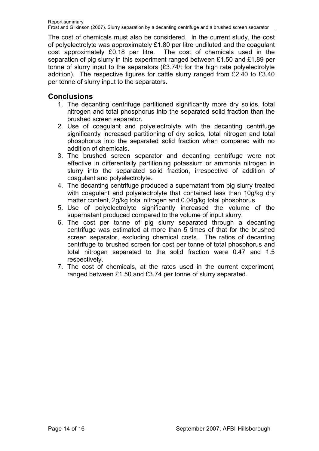The cost of chemicals must also be considered. In the current study, the cost of polyelectrolyte was approximately £1.80 per litre undiluted and the coagulant cost approximately £0.18 per litre. The cost of chemicals used in the separation of pig slurry in this experiment ranged between £1.50 and £1.89 per tonne of slurry input to the separators (£3.74/t for the high rate polyelectrolyte addition). The respective figures for cattle slurry ranged from £2.40 to £3.40 per tonne of slurry input to the separators.

## **Conclusions**

- 1. The decanting centrifuge partitioned significantly more dry solids, total nitrogen and total phosphorus into the separated solid fraction than the brushed screen separator.
- 2. Use of coagulant and polyelectrolyte with the decanting centrifuge significantly increased partitioning of dry solids, total nitrogen and total phosphorus into the separated solid fraction when compared with no addition of chemicals.
- 3. The brushed screen separator and decanting centrifuge were not effective in differentially partitioning potassium or ammonia nitrogen in slurry into the separated solid fraction, irrespective of addition of coagulant and polyelectrolyte.
- 4. The decanting centrifuge produced a supernatant from pig slurry treated with coagulant and polyelectrolyte that contained less than 10g/kg dry matter content, 2g/kg total nitrogen and 0.04g/kg total phosphorus
- 5. Use of polyelectrolyte significantly increased the volume of the supernatant produced compared to the volume of input slurry.
- 6. The cost per tonne of pig slurry separated through a decanting centrifuge was estimated at more than 5 times of that for the brushed screen separator, excluding chemical costs. The ratios of decanting centrifuge to brushed screen for cost per tonne of total phosphorus and total nitrogen separated to the solid fraction were 0.47 and 1.5 respectively.
- 7. The cost of chemicals, at the rates used in the current experiment, ranged between £1.50 and £3.74 per tonne of slurry separated.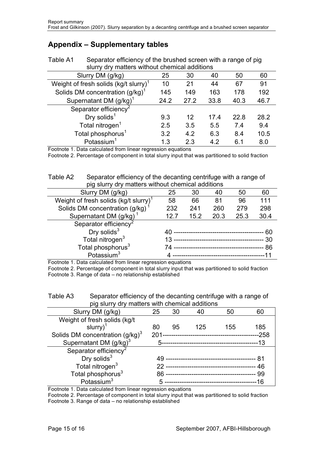# **Appendix – Supplementary tables**

| slurry dry matters without chemical additions     |      |      |      |      |      |  |  |
|---------------------------------------------------|------|------|------|------|------|--|--|
| Slurry DM (g/kg)<br>25<br>60<br>30<br>40<br>50    |      |      |      |      |      |  |  |
| Weight of fresh solids (kg/t slurry) <sup>1</sup> | 10   | 21   | 44   | 67   | 91   |  |  |
| Solids DM concentration $(g/kg)^T$                | 145  | 149  | 163  | 178  | 192  |  |  |
| Supernatant DM $(g/kg)^1$                         | 24.2 | 27.2 | 33.8 | 40.3 | 46.7 |  |  |
| Separator efficiency <sup>2</sup>                 |      |      |      |      |      |  |  |
| Dry solids $1$                                    | 9.3  | 12   | 17.4 | 22.8 | 28.2 |  |  |
| Total nitrogen <sup>1</sup>                       | 2.5  | 3.5  | 5.5  | 7.4  | 9.4  |  |  |
| Total phosphorus <sup>1</sup>                     | 3.2  | 4.2  | 6.3  | 8.4  | 10.5 |  |  |
| Potassium <sup>1</sup>                            | 1.3  | 2.3  | 4.2  | 6.1  | 8.0  |  |  |

Table A1 Separator efficiency of the brushed screen with a range of pig

Footnote 1. Data calculated from linear regression equations

Footnote 2. Percentage of component in total slurry input that was partitioned to solid fraction

Table A2 Separator efficiency of the decanting centrifuge with a range of pig slurry dry matters without chemical additions

| Slurry DM (g/kg)                                  | 25                                      | 30   | 40                        | 50   | 60   |
|---------------------------------------------------|-----------------------------------------|------|---------------------------|------|------|
| Weight of fresh solids (kg/t slurry) <sup>1</sup> | 58                                      | 66   | 81                        | 96   | 111  |
| Solids DM concentration (g/kg)                    | 232                                     | 241  | 260                       | 279  | 298  |
| Supernatant DM (g/kg)                             | 12.7                                    | 15.2 | 20.3                      | 25.3 | 30.4 |
| Separator efficiency <sup>2</sup>                 |                                         |      |                           |      |      |
| Dry solids $3$                                    |                                         |      | ------------------------- |      | 60   |
| Total nitrogen <sup>3</sup>                       | 30<br>13<br>--------------------------- |      |                           |      |      |
| Total phosphorus <sup>3</sup>                     | 86<br>-------------------------------   |      |                           |      |      |
| Potassium $3$                                     |                                         |      | ------------------------- |      |      |

Footnote 1. Data calculated from linear regression equations

Footnote 2. Percentage of component in total slurry input that was partitioned to solid fraction Footnote 3. Range of data – no relationship established

| Table A3 | Separator efficiency of the decanting centrifuge with a range of |
|----------|------------------------------------------------------------------|
|          | pig slurry dry matters with chemical additions                   |

| Slurry DM (g/kg)                   | 25      | 30 |     | 50                               | ิคท    |
|------------------------------------|---------|----|-----|----------------------------------|--------|
| Weight of fresh solids (kg/t       |         |    |     |                                  |        |
| slurry $)^{1}$                     | 80      | 95 | 125 | 155                              | 185    |
| Solids DM concentration $(g/kg)^3$ | $201 -$ |    |     |                                  | $-258$ |
| Supernatant DM $(g/kg)^3$          |         |    |     | -------------------------------  | --13   |
| Separator efficiency <sup>2</sup>  |         |    |     |                                  |        |
| Dry solids $3$                     | 49.     |    |     |                                  |        |
| Total nitrogen <sup>3</sup>        |         |    |     |                                  | 46     |
| Total phosphorus <sup>3</sup>      | 86      |    |     | -------------------------------- | 99     |
| Potassium $3$                      |         |    |     | ------------------------------   | 16     |

Footnote 1. Data calculated from linear regression equations

Footnote 2. Percentage of component in total slurry input that was partitioned to solid fraction Footnote 3. Range of data – no relationship established